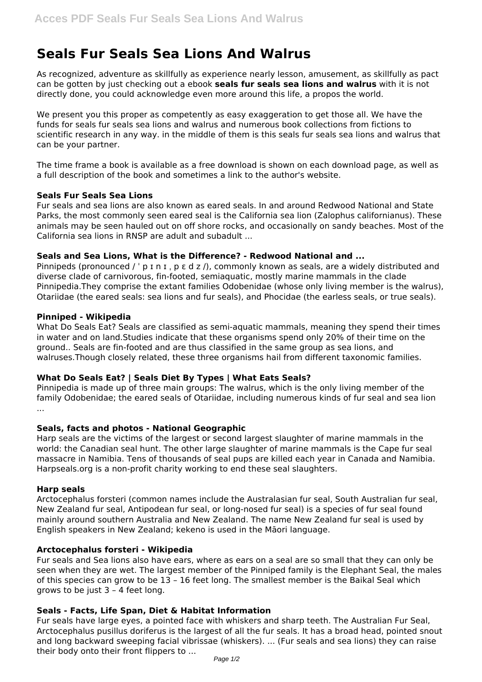# **Seals Fur Seals Sea Lions And Walrus**

As recognized, adventure as skillfully as experience nearly lesson, amusement, as skillfully as pact can be gotten by just checking out a ebook **seals fur seals sea lions and walrus** with it is not directly done, you could acknowledge even more around this life, a propos the world.

We present you this proper as competently as easy exaggeration to get those all. We have the funds for seals fur seals sea lions and walrus and numerous book collections from fictions to scientific research in any way. in the middle of them is this seals fur seals sea lions and walrus that can be your partner.

The time frame a book is available as a free download is shown on each download page, as well as a full description of the book and sometimes a link to the author's website.

## **Seals Fur Seals Sea Lions**

Fur seals and sea lions are also known as eared seals. In and around Redwood National and State Parks, the most commonly seen eared seal is the California sea lion (Zalophus californianus). These animals may be seen hauled out on off shore rocks, and occasionally on sandy beaches. Most of the California sea lions in RNSP are adult and subadult ...

# **Seals and Sea Lions, What is the Difference? - Redwood National and ...**

Pinnipeds (pronounced / ' p I n I , p  $\varepsilon$  d z /), commonly known as seals, are a widely distributed and diverse clade of carnivorous, fin-footed, semiaquatic, mostly marine mammals in the clade Pinnipedia.They comprise the extant families Odobenidae (whose only living member is the walrus), Otariidae (the eared seals: sea lions and fur seals), and Phocidae (the earless seals, or true seals).

## **Pinniped - Wikipedia**

What Do Seals Eat? Seals are classified as semi-aquatic mammals, meaning they spend their times in water and on land.Studies indicate that these organisms spend only 20% of their time on the ground.. Seals are fin-footed and are thus classified in the same group as sea lions, and walruses.Though closely related, these three organisms hail from different taxonomic families.

# **What Do Seals Eat? | Seals Diet By Types | What Eats Seals?**

Pinnipedia is made up of three main groups: The walrus, which is the only living member of the family Odobenidae; the eared seals of Otariidae, including numerous kinds of fur seal and sea lion ...

#### **Seals, facts and photos - National Geographic**

Harp seals are the victims of the largest or second largest slaughter of marine mammals in the world: the Canadian seal hunt. The other large slaughter of marine mammals is the Cape fur seal massacre in Namibia. Tens of thousands of seal pups are killed each year in Canada and Namibia. Harpseals.org is a non-profit charity working to end these seal slaughters.

#### **Harp seals**

Arctocephalus forsteri (common names include the Australasian fur seal, South Australian fur seal, New Zealand fur seal, Antipodean fur seal, or long-nosed fur seal) is a species of fur seal found mainly around southern Australia and New Zealand. The name New Zealand fur seal is used by English speakers in New Zealand; kekeno is used in the Māori language.

# **Arctocephalus forsteri - Wikipedia**

Fur seals and Sea lions also have ears, where as ears on a seal are so small that they can only be seen when they are wet. The largest member of the Pinniped family is the Elephant Seal, the males of this species can grow to be 13 – 16 feet long. The smallest member is the Baikal Seal which grows to be just 3 – 4 feet long.

# **Seals - Facts, Life Span, Diet & Habitat Information**

Fur seals have large eyes, a pointed face with whiskers and sharp teeth. The Australian Fur Seal, Arctocephalus pusillus doriferus is the largest of all the fur seals. It has a broad head, pointed snout and long backward sweeping facial vibrissae (whiskers). ... (Fur seals and sea lions) they can raise their body onto their front flippers to ...